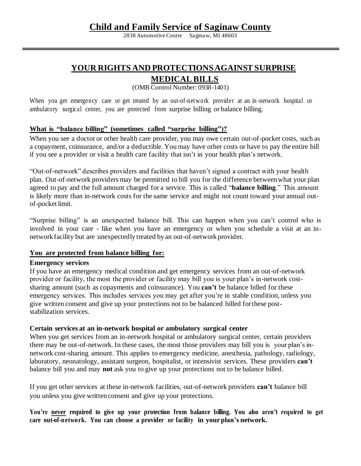# **Child and Family Service of Saginaw County**

2838 Automotive Centre Saginaw, MI 48603

# **YOUR RIGHTS AND PROTECTIONS AGAINST SURPRISE**

### **MEDICAL BILLS**

(OMB Control Number: 0938-1401)

When you get emergency care or get treated by an out-of-network provider at an in -network hospital or ambulatory surgical center, you are protected from surprise billing or balance billing.

#### **What is "balance billing" (sometimes called "surprise billing")?**

When you see a doctor or other health care provider, you may owe certain out-of-pocket costs, such as a copayment, coinsurance, and/or a deductible. You may have other costs or have to pay the entire bill if you see a provider or visit a health care facility that isn't in your health plan's network.

"Out-of-network" describes providers and facilities that haven't signed a contract with your health plan. Out-of-network providers may be permitted to bill you for the difference betweenwhat your plan agreed to pay and the full amount charged for a service. This is called "**balance billing**." This amount is likely more than in-network costs for the same service and might not count toward your annual outof-pocket limit.

"Surprise billing" is an unexpected balance bill. This can happen when you can't control who is involved in your care - like when you have an emergency or when you schedule a visit at an innetwork facility but are unexpectedly treated by an out-of-network provider.

#### **You are protected from balance billing for:**

#### **Emergency services**

If you have an emergency medical condition and get emergency services from an out-of-network provider or facility, the most the provider or facility may bill you is your plan's in-network costsharing amount (such as copayments and coinsurance). You **can't** be balance billed for these emergency services. This includes services you may get after you're in stable condition, unless you give written consent and give up your protections not to be balanced billed forthese poststabilization services.

#### **Certain services at an in-network hospital or ambulatory surgical center**

When you get services from an in-network hospital or ambulatory surgical center, certain providers there may be out-of-network. In these cases, the most those providers may bill you is your plan's innetwork cost-sharing amount. This applies to emergency medicine, anesthesia, pathology, radiology, laboratory, neonatology, assistant surgeon, hospitalist, or intensivist services. These providers **can't**  balance bill you and may **not** ask you to give up your protections not to be balance billed.

If you get other services at these in-network facilities, out-of-network providers **can't** balance bill you unless you give written consent and give up your protections.

**You're never required to give up your protection from balance billing. You also aren't required to get care out-of-network. You can choose a provider or facility in yourplan's network.**